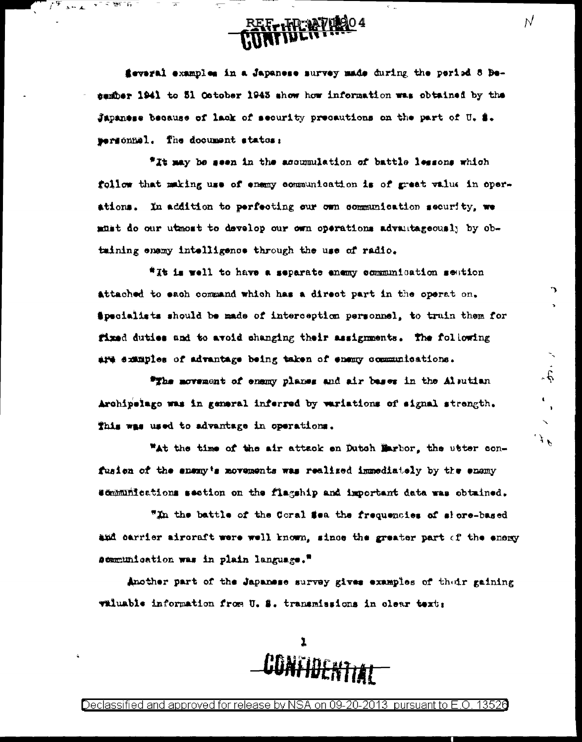

feveral examples in a Japanese survey made during the period 8 Desamber 1941 to 51 October 1943 show how information was obtained by the Japanese because of lack of security precautions on the part of U. S. wermonnel. The document states:

"It may be seen in the accumulation of battle lessons which follow that making use of enemy communication is of great value in operations. In addition to perfecting our own communication security, we must do our utmost to develop our own operations advantageously by obtaining enamy intelligence through the use of radio.

"It is well to have a separate enemy communication section attached to each command which has a direct part in the operat on. Specialists should be made of interception personnel, to truin them for fixed duties and to avoid changing their assignments. The following are examples of advantage being taken of enemy communications.

"The movement of enemy planes and air bases in the Alsutian Archipelago was in general inferred by variations of signal strength. This was used to advantage in operations.

"At the time of the air attack on Dutch Marbor, the utter confusion of the anany's movements was realized immediately by the enemy semminications section on the flagship and important data was obtained.

"In the battle of the Coral Sea the frequencies of slore-based and carrier aircraft were well known, since the greater part of the enemy scomunication was in plain language."

Another part of the Japanese survey gives examples of their gaining valuable information from U. S. transmissions in clear text:



Declassified and approved for release by NSA on 09-20-2013  $\,$  pursuant to E.O  $\,$ 13520  $\overline{\mathcal{N}}$ 

ገ

 $\dot{\hat{\phi}}$ 

 $\mathcal{F}^{\mathcal{F}}$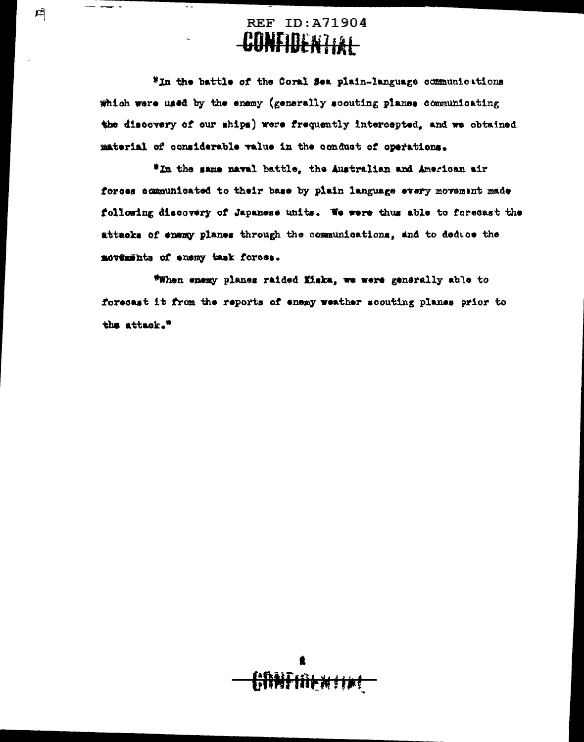### **REF ID: A71904** <u>VENDERZIAL</u>

戶

"In the battle of the Coral Sea plain-language communications which were used by the enemy (generally scouting planes communicating the discovery of our ships) were frequently intercepted, and we obtained material of considerable value in the conduct of operations.

"In the same naval battle, the Australian and American air forces communicated to their base by plain language every movement made following discovery of Japanese units. We were thus able to forecast the attacks of enemy planes through the communications, and to deduce the movements of enemy task forces.

\*When enemy planes raided fisks, we were generally able to forecast it from the reports of enemy weather scouting planes prior to the attack."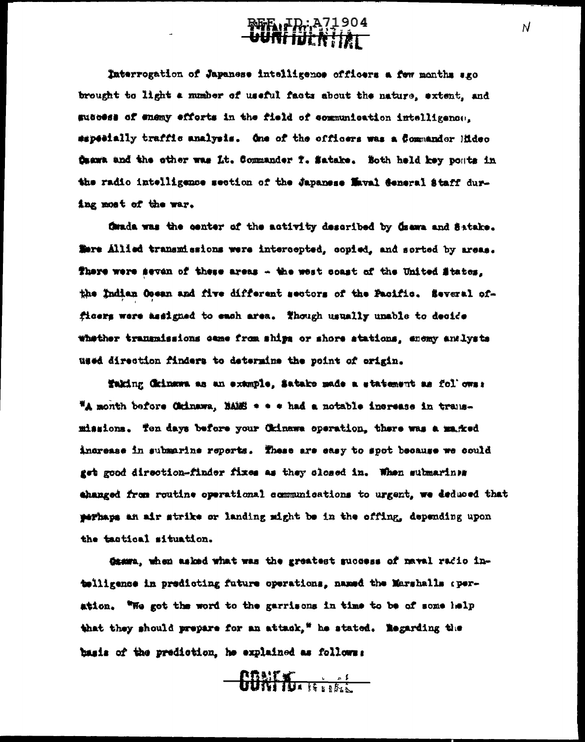**BFE LD: A71904** 

Taterrogation of Japanese intelligence officers a few months sgo brought to light a number of useful facts about the nature, extent, and subcess of enemy efforts in the field of communication intelligence. sapeeially traffic analysis. One of the officers was a Commander Hideo Ösama and the other was Lt. Commander T. Satake. Both held key posts in the radio intelligence section of the Japanese Maval Seneral Staff during most of the war.

finds was the center of the activity described by dsama and Satake. Tere Allied transmissions were intercepted, copied, and sorted by areas. There were seven of these areas - the west coast of the United States. the Indian Ocean and five different sectors of the Pacific. Several officers were masigned to each area. Though usually unable to decide whether transmissions came from ships or shore stations, enomy andlysts used direction finders to determine the point of origin.

Taking Chinawa as an example. Satake made a statement as follows: "A month before Citinawa, BAES + + + had a notable increase in transmissions. Ton days before your Chinawa operation, there was a magred increase in submarine reperts. These are easy to spot because we could get good direction-finder fixes as they closed in. When submarines thanged from routine operational communications to urgent, we deduced that perhaps an air strike or landing might be in the offing, depending upon the tactical situation.

damma, when asked what was the greatest success of naval radio intolligence in predicting future operations, named the Marshalls operation. "We got the word to the garrisons in time to be of some lelp that they should prepare for an attack," he stated. Regarding the basis of the prediction, he explained as follows:

 $-\frac{\text{max}}{\text{max}}$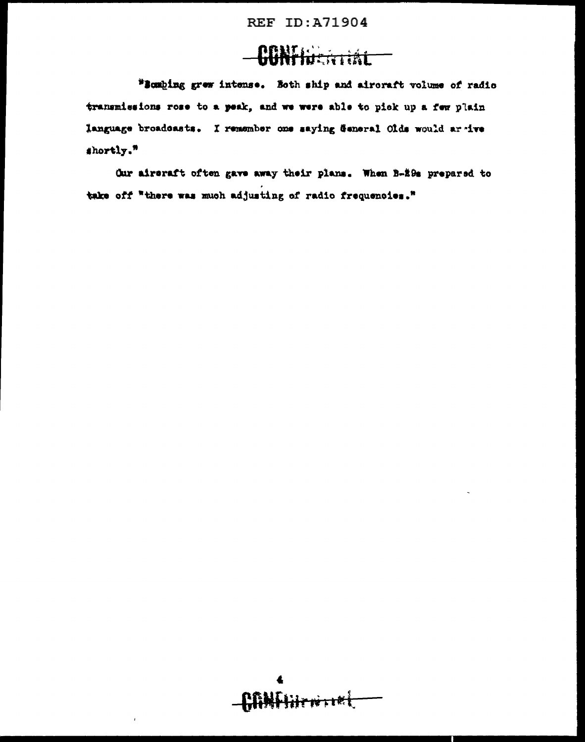**REF ID:A71904** 

## **CONFIDERITAL**

"Bombing grew intense. Both ship and aircraft volume of radio transmissions rose to a peak, and we were able to pick up a few plain language broadcasts. I remember one saying General Olds would ar ive shortly."

Our aircraft often gave away their plans. When B-29s prepared to take off "there was much adjusting of radio frequencies."

AANFIBENTIEL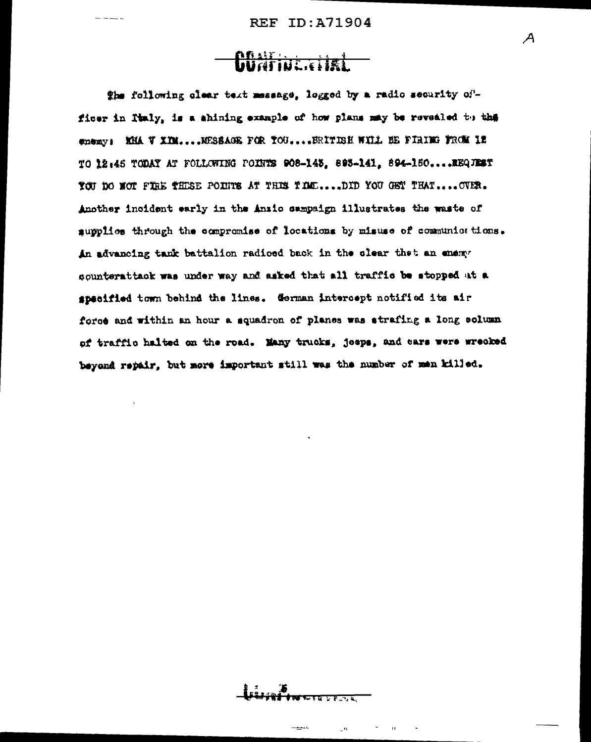## **Chair and Chairman**

The following clear text message, logged by a radio security officer in Italy, is a shining example of how plans may be revealed to the enemy: KHA V XIM.... NESSAGE FOR YOU.... ERITISH WILL BE FIRING FROM IN TO 12:45 TODAY AT FOLLOWING POINTS 908-143, 893-141, 894-150.... EEQUEST TOU DO NOT FIRE THESE POINTS AT THIS TIME....DID YOU GET THAT.... OVER. Another incident early in the Anzio sampaign illustrates the waste of aupplies through the compromise of locations by misuse of communiestions. An advancing tank battalion radioed back in the clear thet an enemy sounterattack was under way and asked that all traffic be stopped at a specified town behind the lines. German intercept notified its air force and within an hour a squadron of planes was strafing a long solumn of traffic halted on the road. Many trucks, jeeps, and cars were wrecked beyond repair, but more important still was the number of men killed.

 $\boldsymbol{\mathcal{A}}$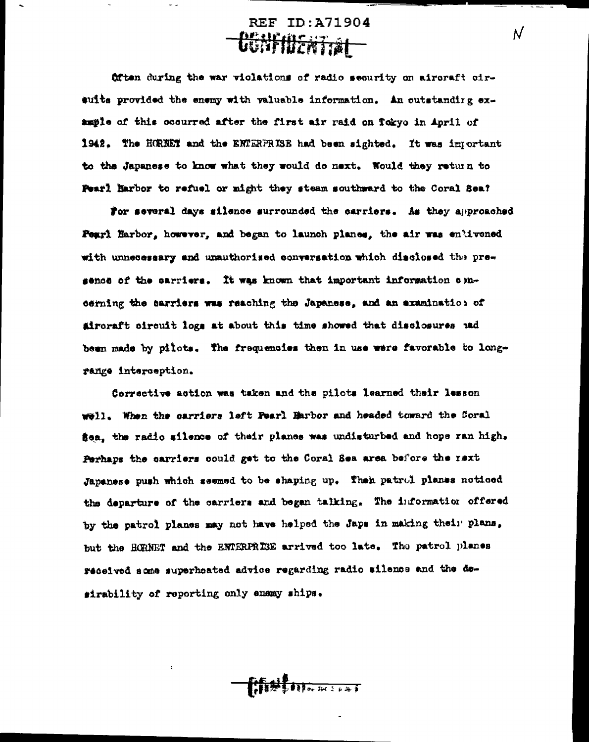**REF ID:A71904 Deurmental –** 

N

fitten during the war violations of radio security on aircraft cirsuits provided the enemy with valuable information. An outstanding example of this occurred after the first air raid on Tokyo in April of 1942. The HORNET and the ENTERFRISE had been sighted. It was important to the Japanese to know what they would do next. Nould they return to Pearl Harbor to refuel or might they steam southward to the Coral Sea?

For several days silence surrounded the carriers. As they approached Pearl Harbor, however, and began to launch planes, the air was enlivened with unnecessary and unauthorised conversation which disclosed the presence of the carriers. It was known that important information opncerning the carriers was reaching the Japanese, and an examination of aircraft circuit logs at about this time showed that disclosures and been made by pilots. The frequencies then in use were favorable to longrange interception.

Corrective action was taken and the pilots learned their lesson well. When the carriers left Fearl Harbor and headed toward the Coral sea, the radio silence of their planes was undisturbed and hope ran high. Perhaps the carriers could get to the Coral Sea area before the rext Japanese push which seemed to be shaping up. Then patrol planes noticed the departure of the carriers and began talking. The information offered by the patrol planes may not have helped the Japs in making their plans, but the HCRNET and the ENTERPRISE arrived too late. The patrol planes received some superheated advice regarding radio silence and the desirability of reporting only enemy ships.

**All Port Address**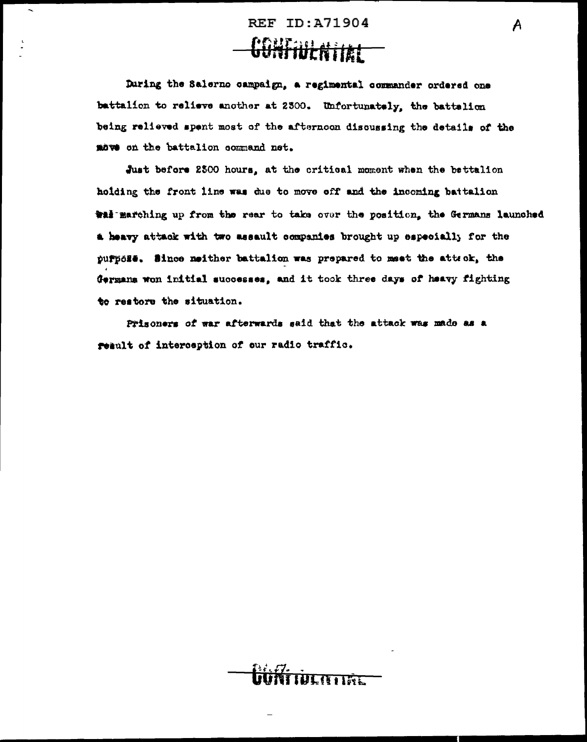## **REF ID: A71904**

A

## <del>CONFIUENTIAL</del>

During the Salerno campaign, a regimental commander ordered one battalion to relieve another at 2300. Unfortunately, the battalion being relieved spent most of the afternoon discussing the details of the move on the battalion command net.

Just before 2500 hours, at the critical moment when the bettalion hoiding the front line was due to move off and the incoming battalion Will marching up from the rear to take over the position, the Germans launched a heavy attack with two assault companies brought up especially for the purpoze. Since neither battalion was prepared to meet the atteck, the Germans won initial successes, and it took three days of heavy fighting to restore the situation.

Prisoners of war afterwards said that the attack was made as a result of interception of our radio traffic.

**WLATER**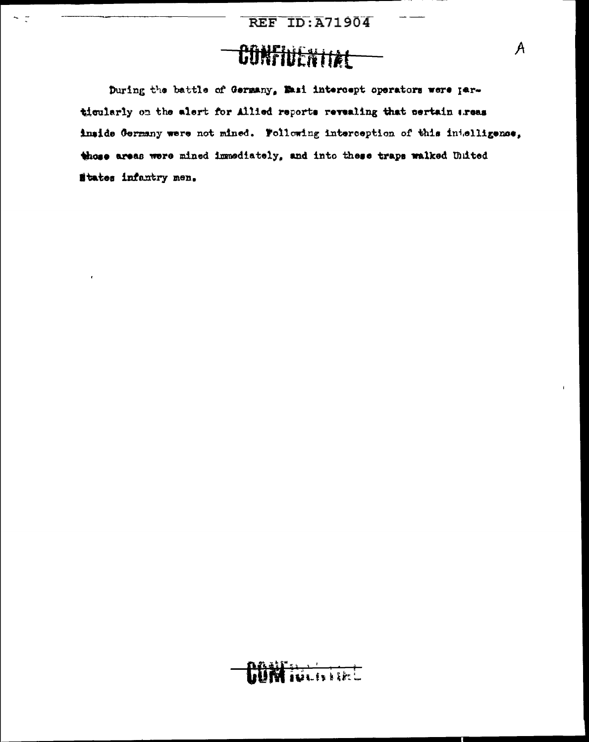## CONFIUENTIAE

 $\sim$  7

During the battle of Germany, Masi intercept operators were particularly on the alert for Allied reports revealing that certain areas inside Germany were not mined. Following interception of this intelligence, those areas were mined immediately, and into these traps walked United States infantry men.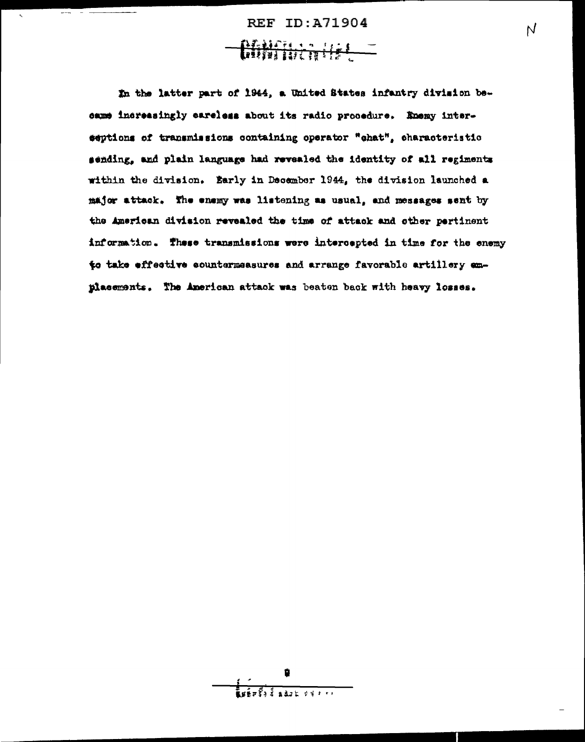**REF ID: A71904** Chifficatist -

 $\overline{\mathsf{N}}$ 

 $\tilde{\mathbf{r}}$ 

In the latter part of 1944, a United States infantry division became increasingly careless about its radio procedure. Enemy interseptions of transmissions containing operator "chat", characteristic sending, and plain language had revealed the identity of all regiments within the division. Early in December 1944, the division launched a major attack. The enemy was listening as usual, and messages sent by the American division revealed the time of attack and other pertinent information. These transmissions were intercepted in time for the enemy to take effective countermeasures and arrange favorable artillery amplacements. The American attack was beaten back with heavy losses.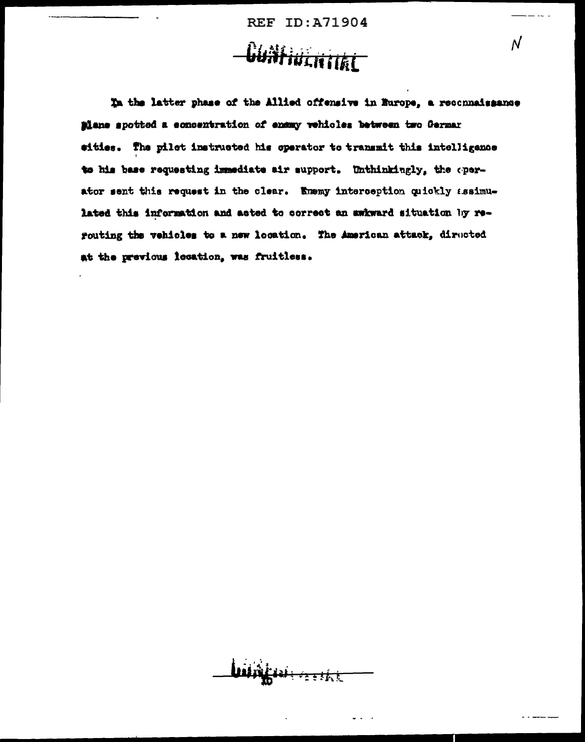**REF ID: A71904** 

# **Cuntiucritike**

In the latter phase of the Allied offensive in Europe, a reconnaissance plane spotted a concentration of ensay vehicles between two German eities. The pilot instructed his operator to transmit this intelligence to his base requesting immediate air support. Unthinkingly, the operator sent this request in the clear. Enemy interception quickly assimulated this information and acted to correct an awkward situation by rerouting the vehicles to a new location. The American attack, diructed at the previous location, was fruitless.

zetht

 $\overline{\mathcal{N}}$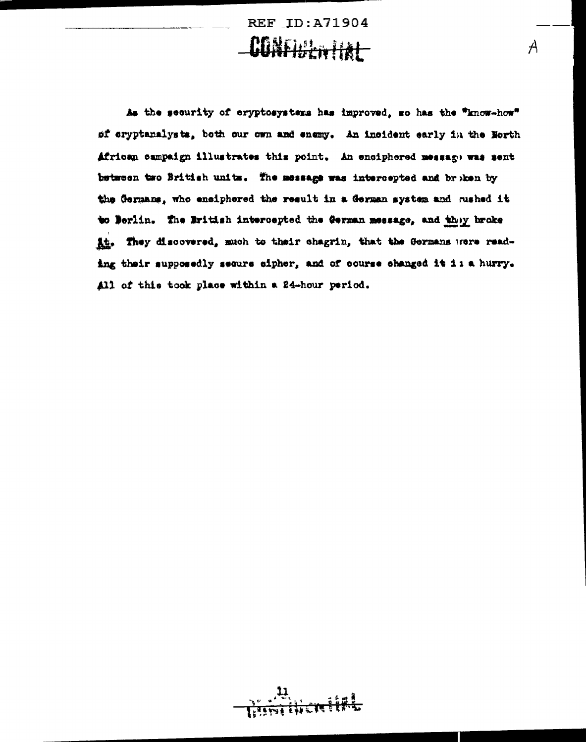**REF ID: A71904** CONFIDENTIAL

A

As the security of cryptosystems has improved, so has the "know-how" of cryptanalysts, both our own and enemy. An incident early in the North African campaign illustrates this point. An enciphered message was sent between two British units. The message was intercepted and broken by the Germans, who enciphered the result in a German system and rushed it to Berlin. The British intercepted the German message, and they broke At. They discovered, much to their chagrin, that the Germans were reading their supposedly secure cipher, and of course changed it is a hurry. All of this took place within a 24-hour period.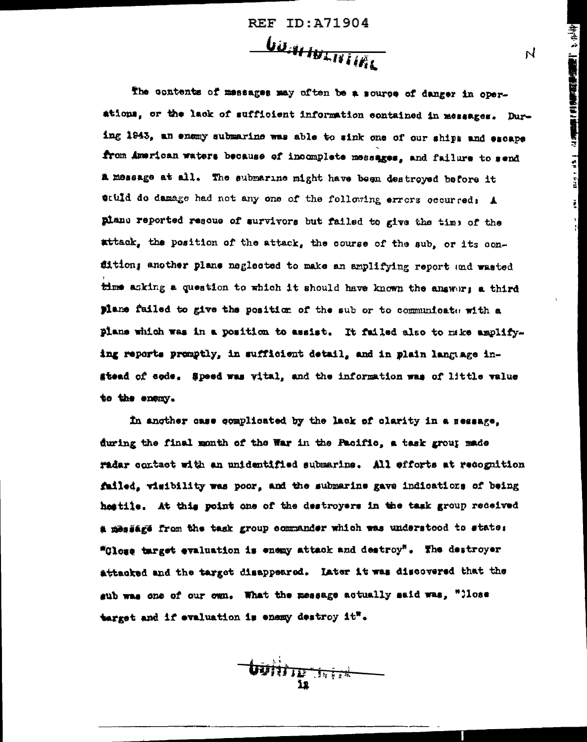**REF ID:A71904** 

*UUAN INLITIKL* 

**「神社」と、「高麗野の風味の音楽」を見えるという** 

Į,

 $\overline{N}$ 

The contents of messages may often be a source of danger in operations, or the lack of sufficient information contained in messages. During 1943, an enemy submarine was able to sink one of our ships and escape from American waters because of incomplete messages, and failure to send a message at all. The submarine might have been destroyed before it stuld do damage had not any one of the following errors occurred: A plane reported resoue of survivors but failed to give the time of the attack, the position of the attack, the course of the sub, or its condition; another plane neglected to make an amplifying report and wasted time asking a question to which it should have known the answer; a third plane failed to give the position of the sub or to communicate with a plans which was in a position to assist. It failed also to make amplify... ing reports promptly, in sufficient detail, and in plain language instead of sode. Speed was vital, and the information was of little value to the enemy.

In another case complicated by the lack of clarity in a sessage. during the final month of the War in the Pacific, a task group made radar contact with an unidentified submarine. All efforts at recognition failed, wisibility was poor, and the submarine gave indications of being heatile. At this point one of the destroyers in the task group received a message from the task group commander which was understood to state: "Glose target evaluation is enemy attack and destroy". The destroyer attacked and the target disappeared. Later it was discovered that the gub was one of our own. What the message actually said was, "Close target and if evaluation is enemy destroy it".

**bojir yr frifed**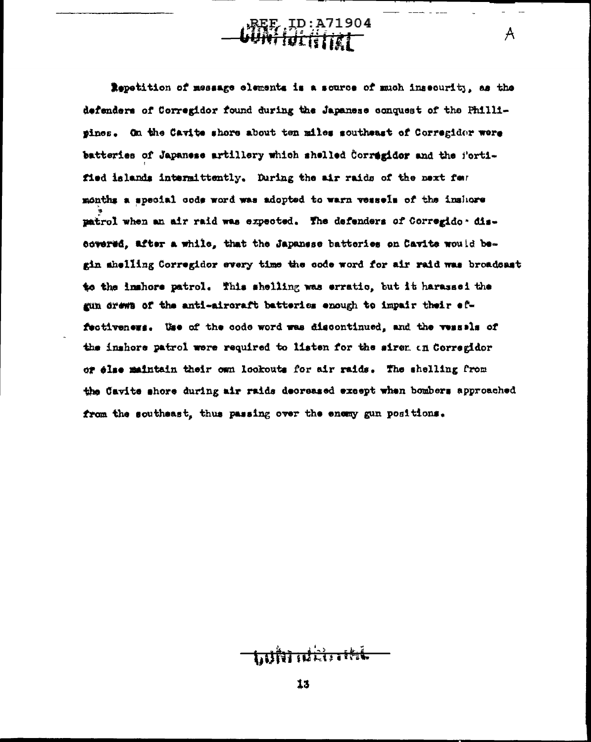BEE ID: A71904

 $\mathcal{A}$ 

Repetition of message elements is a source of much insecurity, as the defenders of Corregidor found during the Japanese conquest of the Phillipines. On the Cavite shore about ten miles southeast of Corregidor were batteries of Japanese artillery which shelled Corregidor and the fortified islands intermittently. During the air raids of the next fear months a special code word was adopted to warn vessels of the inshore patrol when an air raid was expected. The defenders of Corregido - discovered, after a while, that the Japanese batteries on Cavite would begin shelling Corregidor every time the code word for air raid was broadcast to the inshore patrol. This shelling was erratic, but it harassed the gun drews of the anti-aircraft batteries enough to impair their effectiveners. Use of the code word was discontinued, and the vessels of the inshore patrol were required to listen for the sirem on Corregidor or else maintain their own lookouts for air raids. The shelling from the Cavite shore during air raids decreased except when bombers approached from the southeast, thus passing over the enemy gun positions.

<u>talin aldında</u>

 $13$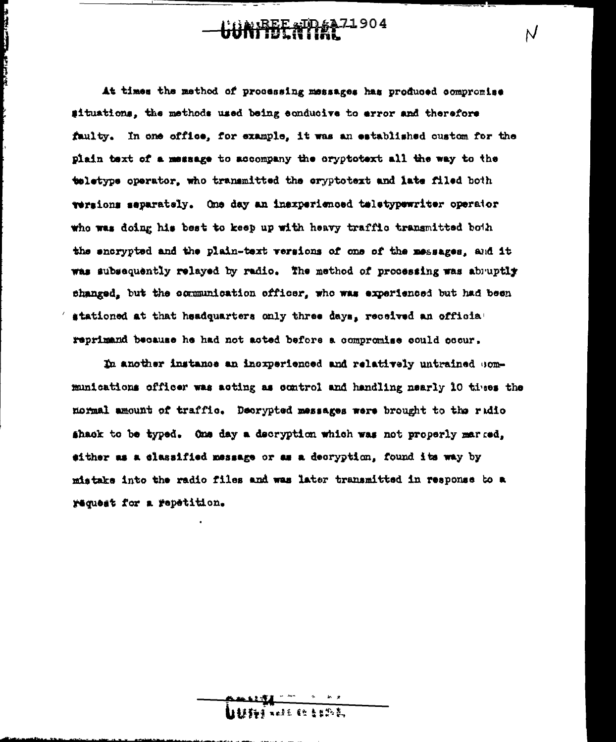UREE AID 6471904

N

**THE PERSON AND INCOME.** 

At times the method of processing messages has produced compromise situations, the methods used being conducive to error and therefore faulty. In one office, for example, it was an established oustom for the plain text of a message to accompany the cryptotext all the way to the teletype operator, who transmitted the cryptotext and late filed both versions separately. One day an inexperienced teletypewriter operator who was doing his best to keep up with heavy traffic transmitted both the snorvoted and the plain-text versions of one of the messages. and it was subsequently relayed by radio. The method of processing was abruptly changed, but the communication officer, who was experienced but had been stationed at that headquarters only three days, received an official reprimand because he had not acted before a compromise could cocur.

In another instance an incrperienced and relatively untrained communications officer was acting as control and handling nearly 10 times the normal amount of traffic. Decrypted messages were brought to the radio shack to be typed. One day a decryption which was not properly marred. sither as a classified message or as a decryption, found its way by mistake into the radio files and was later transmitted in response to a request for a repetition.

【1455】 1256 62 8日热热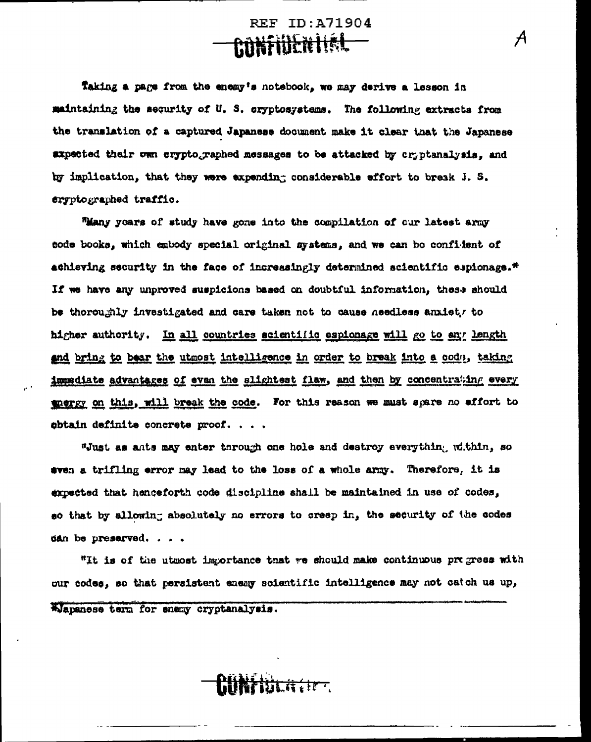**REF ID:A71904** <del>ANKINEN I Í ÁL</del>

 $\mathcal{A}_{\mathcal{A}}$ 

Taking a page from the enemy's notebook, we may derive a lesson in maintaining the security of U.S. cryptosystems. The following extracts from the translation of a captured Japanese document make it clear that the Japanese axpected their own cryptographed messages to be attacked by cryptanalysis, and by implication, that they were expending considerable effort to break J. S. eryptographed traffic.

"Many years of study have gone into the compilation of our latest army tode books, which embody special original systems, and we can be confident of achieving security in the face of increasingly determined scientific espionage.<sup>\*</sup> If we have any unproved suspicions based on doubtful information, these should be thoroughly investigated and care taken not to cause needless anxiet, to higher authority. In all countries scientific espionage will go to any length and bring to bear the utmost intelligence in order to break into a codo, taking immediate advantages of even the slightest flaw, and then by concentrating every gnergy on this, will break the code. For this reason we must spare no effort to obtain definite concrete proof. . . .

"Just as ants may enter through one hole and destroy everything within, so even a trifling error may lead to the loss of a whole army. Therefore, it is expected that henceforth code discipline shall be maintained in use of codes, so that by allowing absolutely no errors to creep in, the security of the codes dan be preserved. . . .

"It is of the utwost importance that we should make continuous progress with our codes, so that persistent enemy scientific intelligence may not catch us up,

AJapanese term for enemy cryptanalysis.

**William**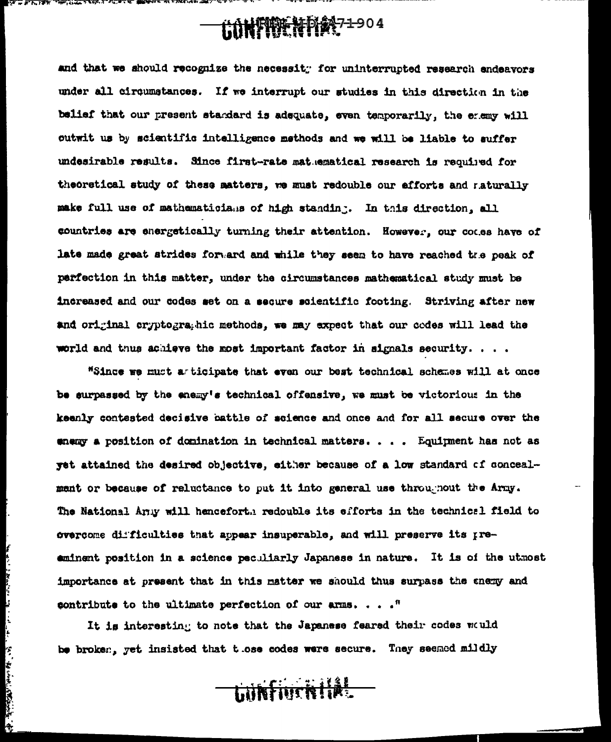## **GONFIDENTIAR71-904**

and that we should recognize the necessity for uninterrupted research endeavors under all circumstances. If we interrupt our studies in this direction in the belief that our present standard is adequate, even temporarily, the enemy will outwit us by scientific intelligence methods and we will be liable to suffer undesirable results. Since first-rate matuematical research is required for theoretical study of these matters, we must redouble our efforts and naturally make full use of mathematicians of high standing. In this direction, all countries are energetically turning their attention. However, our codes have of late made great strides forward and while they seem to have reached the peak of perfection in this matter, under the circumstances mathematical study must be increased and our codes set on a secure scientific footing. Striving after new and original cryptographic methods, we may expect that our codes will lead the world and thus achieve the most important factor in signals security.  $\ldots$ .

"Since we must a ticipate that even our best technical schemes will at once be surpassed by the enemy's technical offensive, we must be victorious in the keenly contested decisive battle of science and once and for all secure over the energy a position of domination in technical matters.... Equipment has not as yet attained the desired objective, either because of a low standard of concealment or because of reluctance to put it into general use throughout the Army. The National Army will henceforth redouble its efforts in the technical field to overcome difficulties that appear insuperable, and will preserve its preeminent position in a science peculiarly Japanese in nature. It is of the utmost importance at present that in this matter we should thus surpass the enemy and contribute to the ultimate perfection of our arms. . . .  $"$ 

It is interesting to note that the Japanese feared their codes would be broken, yet insisted that those codes were secure. They seemed mildly

 $\frac{1}{2}$ 

ا<br>ج

「いいかかいのかい (の)

LUNTING HIAL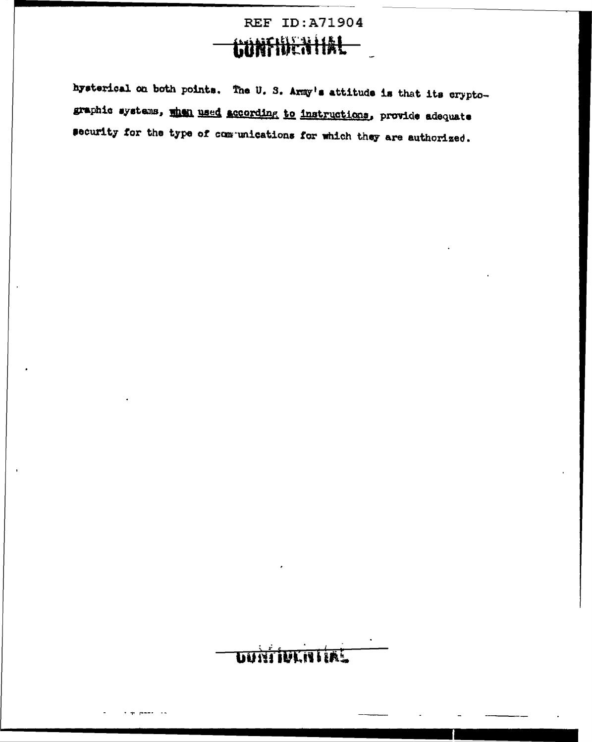### **REF ID:A71904** <u>NTIDEN IAL</u>

hysterical on both points. The U.S. Army's attitude is that its cryptographic systems, when used according to instructions, provide adequate security for the type of communications for which they are authorized.

### **DUNTIVENTIAL**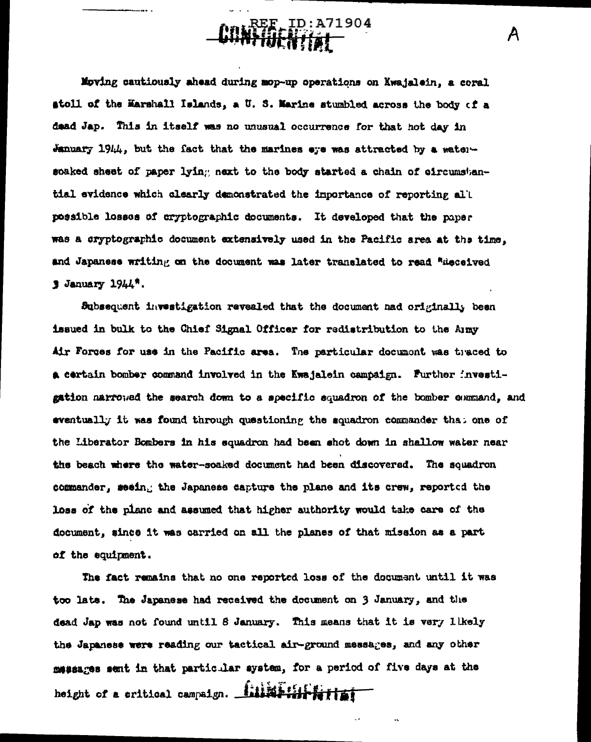**DO REE ID: A71904** 

Moving cautiously ahead during mop-up operations on Kwajalein, a coral stoll of the Marshall Islands, a U.S. Marine stumbled across the body of a dead Jap. This in itself was no unusual occurrence for that hot day in January 1944, but the fact that the marines  $\bullet$ ye was attracted by a watersoaked sheet of paper lying next to the body started a chain of circumstantial evidence which elearly demonstrated the importance of reporting all possible losses of cryptographic documents. It developed that the paper was a cryptographic document extensively used in the Pacific area at the time, and Japanese writing on the document was later translated to read "Rieceived  $3$  January  $1944$ <sup>\*</sup>.

Subsequent investigation revealed that the document had originally been issued in bulk to the Chief Signal Officer for redistribution to the Amy Air Forces for use in the Pacific area. The particular document was theced to a certain bomber command involved in the Kwajalein campaign. Furthor investigation narrowed the search down to a specific equadron of the bomber command, and eventually it was found through questioning the squadron commander that one of the Liberator Bombers in his squadron had been shot down in shallow water near the beach where the water-soaked document had been discovered. The squadron commander, seeing the Japanese capture the plane and its crew, reported the loss of the plane and assumed that higher authority would take care of the document, since it was carried on all the planes of that mission as a part of the equipment.

The fact remains that no one reported loss of the document until it was too late. The Japanese had received the document on 3 January, and the dead Jap was not found until 8 January. This means that it is very likely the Japanese were reading our tactical air-ground messages, and any other messages sent in that particular system, for a period of five days at the height of a critical campaign. Minimiple that

A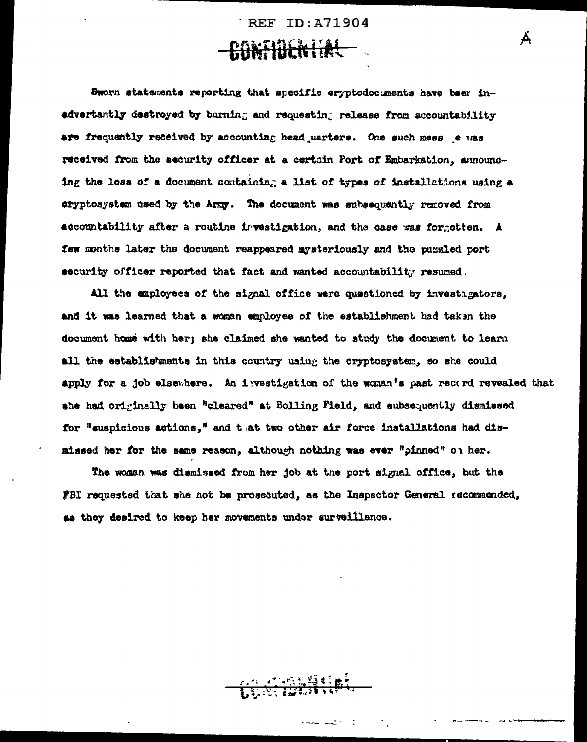**REF ID: A71904 CONFIDENTIAL** 

Ä

Sworn statements reporting that specific cryptodocuments have beer inadvertantly destroyed by burning and requesting release from accountability are frequently received by accounting head uarters. One such mess e was received from the security officer at a certain Port of Embarkation, announcing the loss of a document containing a list of types of installations using a eryptosystem used by the Army. The document was subsequently removed from accountability after a routine irvestigation, and the case was forgotten. A few months later the document reappeared mysteriously and the puzzled port security officer reported that fact and wanted accountability resumed.

All the employees of the signal office were questioned by investigators. and it was learned that a woman employee of the establishment had taken the document home with her; she claimed she wanted to study the document to learn all the establishments in this country using the cryptosystem, so she could apply for a job elsewhere. An investigation of the woman's past record revealed that she had originally been "cleared" at Bolling Field, and subsequently dismissed for "suspicious actions," and that two other air force installations had dismissed her for the same reason, although nothing was ever "pinned" on her.

The woman was dismissed from her job at the port signal office, but the FBI requested that she not be prosecuted, as the Inspector General recommended, as they desired to keep her novements under surveillance.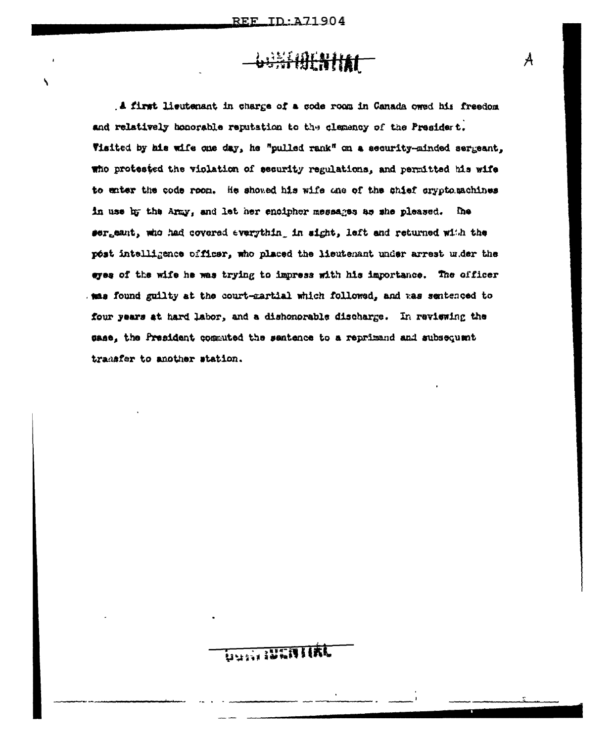١

## **WANKING**

A first lieutenant in charge of a code room in Canada owed his freedom and relatively honorable reputation to the clemency of the President. Visited by his wife one day, he "pulled rank" on a security-minded sergeant, who protested the violation of security regulations, and permitted his wife to enter the code roon. He showed his wife one of the shief cryptomachines in use by the Army, and let her encipher messages as she pleased. The sergeant, who had covered everything in sight, left and returned with the post intelligence officer, who placed the lieutenant under arrest w.der the eyes of the wife he was trying to impress with his importance. The officer mas found guilty at the court-martial which followed, and was sentenced to four years at hard labor, and a dishonorable discharge. In reviewing the sase, the President commuted the sentence to a reprimand and subsequent transfer to another station.

## Uusii IVENII

 $\mathcal{A}_{\mathcal{A}}$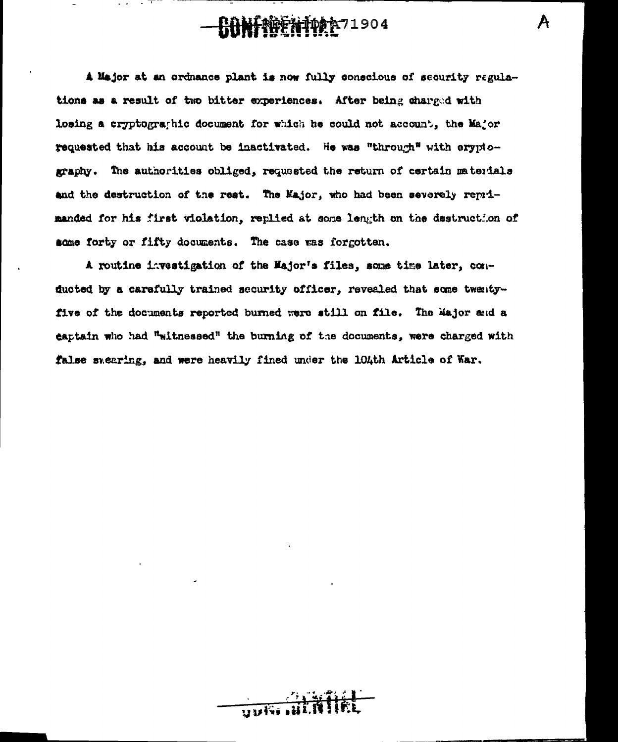## **CONFREGHIVE** 71904

A

A Major at an ordnance plant is now fully conscious of security regulations as a result of two bitter experiences. After being charged with losing a cryptographic document for which he could not account, the Major requested that his account be inactivated. He was "through" with erypiography. The authorities obliged, requested the return of certain materials and the destruction of the rest. The Major, who had been severely reprimanded for his first violation, replied at some length on the destruction of some forty or fifty documents. The case was forgotten.

A routine investigation of the Major's files, some time later, conducted by a carefully trained security officer, revealed that some twentyfive of the documents reported burned were still on file. The Major and a captain who had "witnessed" the burning of the documents, were charged with false swearing, and were heavily fined under the 104th Article of War.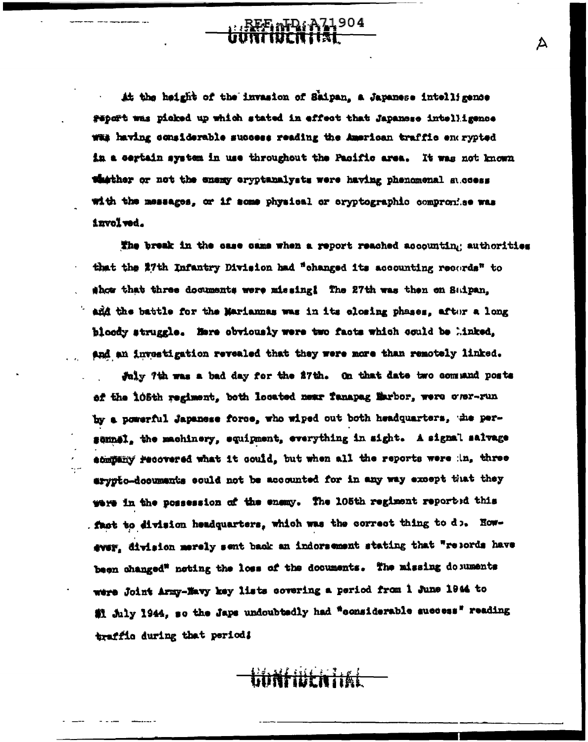it the height of the invasion of Saipan, a Japanese intelligence geport was picked up which stated in effect that Japanese intelligence was having considerable success reading the American traffic enerypted in a certain system in use throughout the Pacific area. It was not known whather or not the enemy cryptanalysts were having phenomenal success with the messages, or if some physical or eryptographic compromise was involved.

REE AD: A71904

Д

The break in the case came when a report reached accounting authorities that the 27th Infantry Division had "changed its accounting records" to show that three documents were missing! The 27th was then on Suipan, and the battle for the Mariannas was in its closing phases. after a long bloody struggle. Here obviously were two facts which could be linked. and an investigation revealed that they were more than remotely linked.

July 7th was a bad day for the 27th. On that date two command posts of the 105th regiment, both located near fanapag Marbor, were cusr-run by a powerful Japanese force, who wiped out both headquarters, the persennel, the machinery, equipment, everything in sight. A signal salvage stimitary recovered what it could, but when all the reports were in, three arypto-documents could not be accounted for in any way except that they were in the possession of the enemy. The 105th regiment reported this . fast to division headquarters, which was the correct thing to do. However, division merely sent back an indorsement stating that "resords have been changed" noting the loss of the documents. The missing do numents were Joint Army-Navy key lists covering a period from 1 June 1944 to 截 July 1944, so the Japs undoubtedly had "considerable success" reading traffic during that period!

linkilikn ital

 $\omega$  and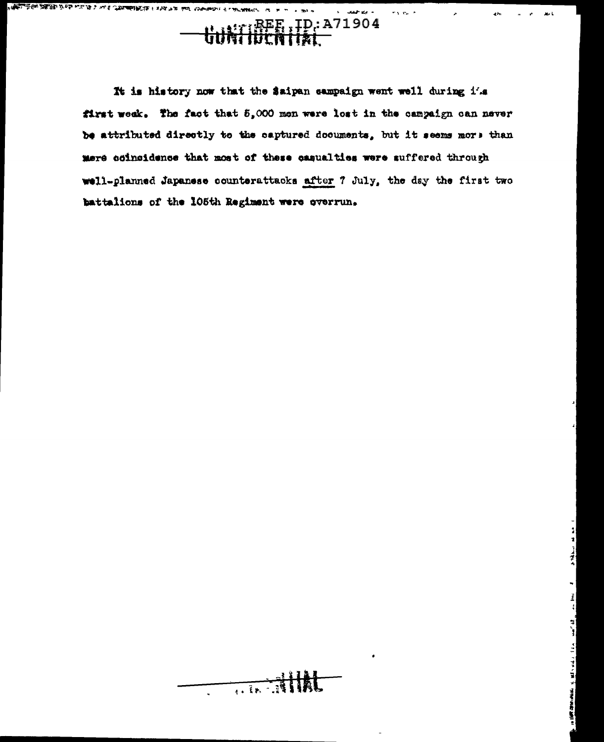

 $\sigma_{\rm A}$  ,  $\sigma_{\rm B}$  ,  $\sigma$ 

4h

 $\Delta\sim 3$ 

**WELL AS ON AND RESPONSING A MAIL COMMENTARY IN THE AND HOT APPROVAL STARTING CONTINUES.** 

It is history now that the Saipan sampaign went well during i's first week. The fact that 5,000 men were lost in the campaign can never be attributed directly to the captured documents, but it seems more than mere coincidence that most of these casualties were suffered through well-planned Japanese counterattacks after 7 July, the day the first two battalions of the 105th Regiment were overrun.

**Allac**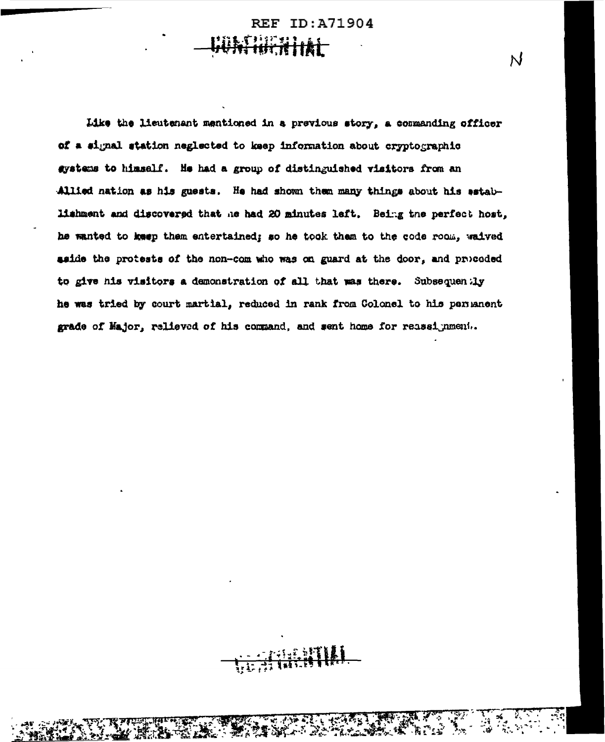ID: A71904 **REF** 

Like the lieutenant mentioned in a previous story, a commanding officer of a signal station neglected to keep information about cryptographic gystems to himself. He had a group of distinguished visitors from an Allied nation as his guests. He had shown then many things about his establishment and discovered that he had 20 minutes left. Being the perfect host, he wanted to keep them entertained; so he took them to the code room, waived aside the protests of the non-com who was on guard at the door, and proceded to give his visitors a demonstration of all that was there. Subsequently he was tried by court martial, reduced in rank from Colonel to his permanent grade of Major, relieved of his command, and sent home for reassignment..

N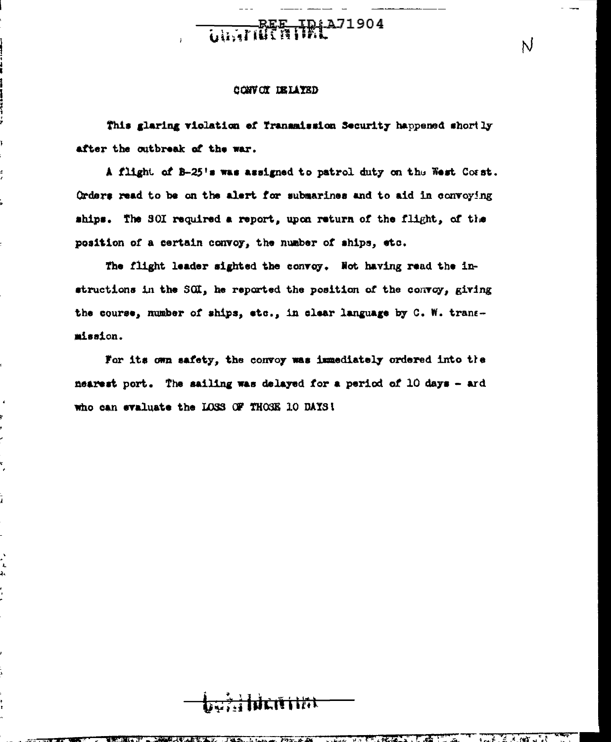#### CONVOY DELAYED

ż

 $\ddot{\phantom{1}}$ 

۲.

 $\mathbf{r}$ 

This glaring violation of Transmission Security happened shortly after the outbreak of the war.

BEE IDIA71904

A flight of B-25's was assigned to patrol duty on the West Corst. Orders read to be on the alert for submarines and to aid in convoying ships. The SOI required a report, upon return of the flight, of the position of a certain convoy, the number of ships, etc.

The flight leader sighted the convoy. Not having read the instructions in the SOI, he reported the position of the convoy, giving the course, number of ships, etc., in clear language by C. W. transmission.

For its own safety, the convoy was immediately ordered into the nearest port. The sailing was delayed for a period of 10 days - ard who can evaluate the LOSS OF THOSE 10 DAYS!

فتتنخفض ويؤنبن

N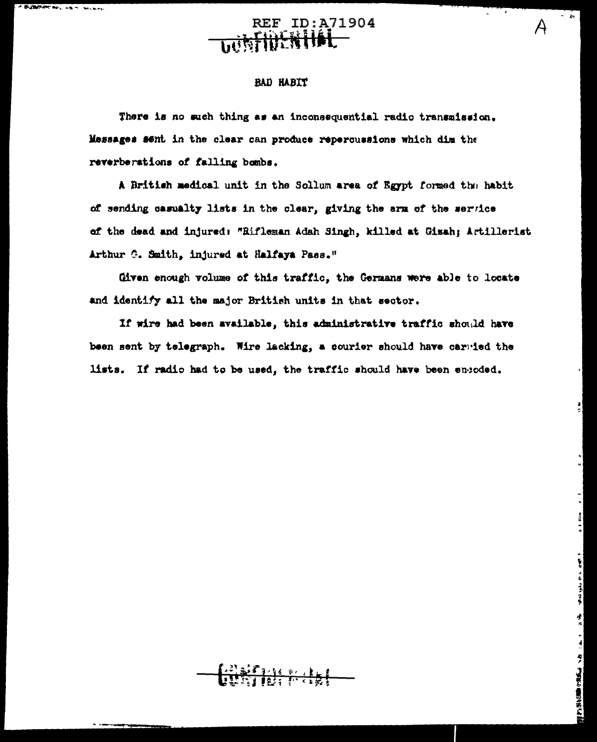**REF ID: A71904 WINERILL** 

 $\overline{\phantom{a}}$ 

 $\mathbf{r}$  . We

I Was a man and I

a a sa a a a a a a a a a

#### **BAD HABIT**

**Bulletin** 

There is no such thing as an inconsequential radio transmission. Messages sent in the clear can produce repercussions which dim the reverberations of falling bombs.

A British medical unit in the Sollum area of Egypt formed the habit of sending casualty lists in the clear, giving the arm of the service of the dead and injured: "Rifleman Adah Singh, killed at Gisah; Artillerist Arthur G. Smith, injured at Halfaya Pass."

Given enough volume of this traffic, the Germans were able to locate and identify all the major British units in that sector.

If wire had been available, this administrative traffic should have been sent by telegraph. Wire lacking, a courier should have carried the lists. If radio had to be used, the traffic should have been encoded.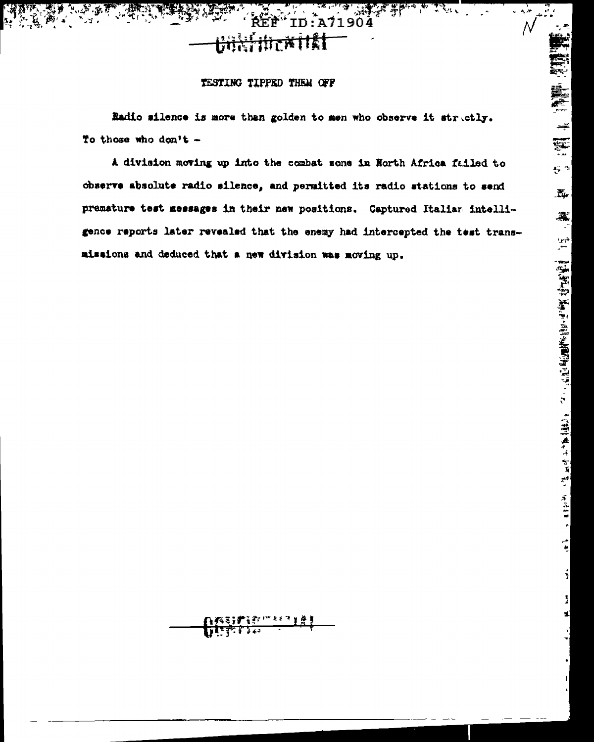خدمان

 ${\cal N}$ 

### TESTING TIPPED THEM OFF

REF

<del>UNKflDex</del>itki

Radio silence is more than golden to men who observe it stractly. To those who don't -

ID:A71904

A division moving up into the combat zone in North Africa failed to observe absolute radio silence, and permitted its radio stations to send premature test messages in their new positions. Captured Italian intelligence reports later revealed that the enemy had intercepted the test transmissions and deduced that a new division was moving up.

隆新 1988年 美華集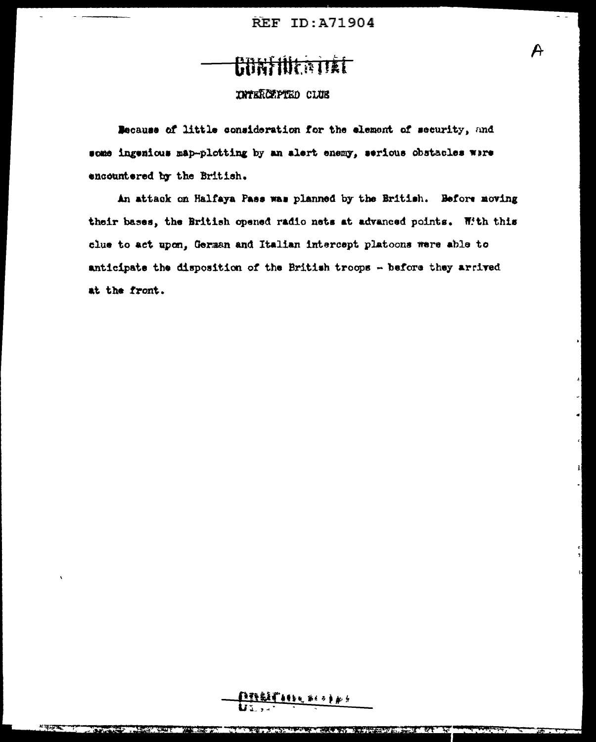## **CONTINERIEL**

### **INTERCEPTED CLUB**

Because of little consideration for the element of security, and some ingenious map-plotting by an alert enemy, serious obstacles were encountered by the British.

An attack on Halfaya Pass was planned by the British. Before moving their bases, the British opened radio nets at advanced points. With this clue to act upon. German and Italian intercept platoons were able to anticipate the disposition of the British troops - before they arrived at the front.

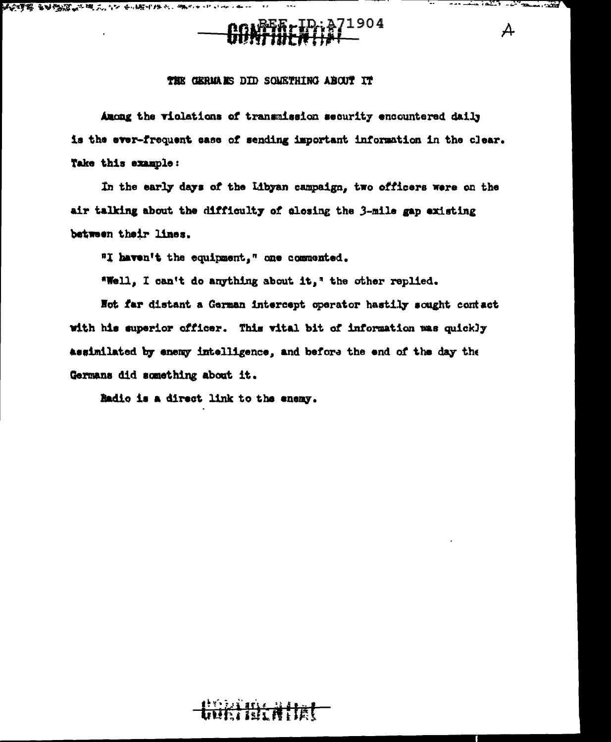大の時期 中央のの人は高い いくかままちをとります こうしきしゅー



 $\sqrt{2}$ 

. . . . . . . . . <del>.</del>

 $\mathcal{A}$ 

 $\overline{a}$ 

#### THE GERMANS DID SOMETHING ABOUT IT

Among the violations of transmission security encountered daily is the ever-frequent case of sending important information in the clear. Take this example:

In the early days of the Libyan campaign, two officers were on the air talking about the difficulty of alosing the 3-mile gap existing between their lines.

"I haven't the equipment," one commented.

"Well, I can't do anything about it," the other replied.

Not far distant a German intercept operator hastily sought contact with his superior officer. This wital bit of information was quickly assimilated by enemy intelligence, and before the end of the day the Germans did something about it.

Radio is a direct link to the enemy.

### **Hirathet**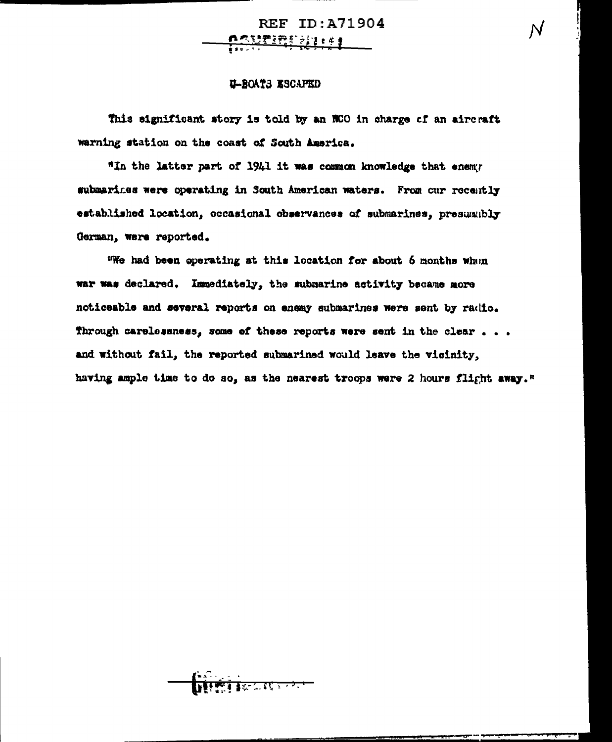**REF ID: A71904** <u>ngufinualist</u>

### U-BOATS ESCAPED

This significant story is told by an NCO in charge of an aircraft warning station on the coast of South America.

"In the latter part of 1941 it was common knowledge that enemy submarines were operating in South American waters. From our recently established location, occasional observances of submarines, presumubly German, were reported.

"We had been operating at this location for about 6 months when war was declared. Immediately, the submarine activity became more noticeable and several reports on enemy submarines were sent by radio. Through carelessness, some of these reports were sent in the clear . . . and without fail, the reported submarined would leave the vicinity, having ample time to do so, as the nearest troops were 2 hours flight away."

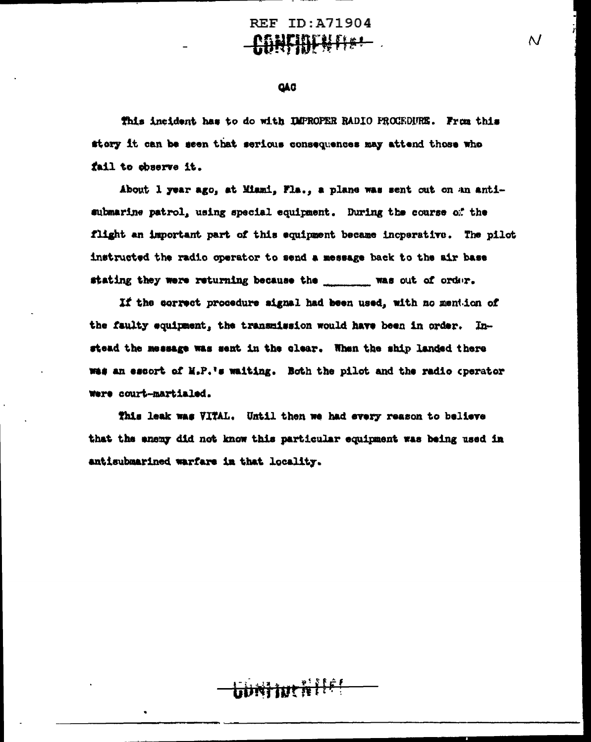N

#### **QAC**

This incident has to do with IMPROPER RADIO PROCEDURE. From this story it can be seen that serious consequences may attend those who fail to observe it.

About 1 year ago, at Miami, Fla., a plane was sent out on an antisubmarine patrol, using special equipment. During the course of the flight an important part of this equipment became incperative. The pilot instructed the radio operator to send a message back to the air base stating they were returning because the \_\_\_\_\_\_\_\_\_ was out of order.

If the correct procedure signal had been used, with no mention of the faulty equipment, the transmission would have been in order. Instead the message was sent in the clear. When the ship landed there was an escort of M.P.'s waiting. Both the pilot and the radio operator were court-martialed.

This leak was VITAL. Until then we had every reason to believe that the enemy did not know this particular equipment was being used in antisubmarined warfare in that locality.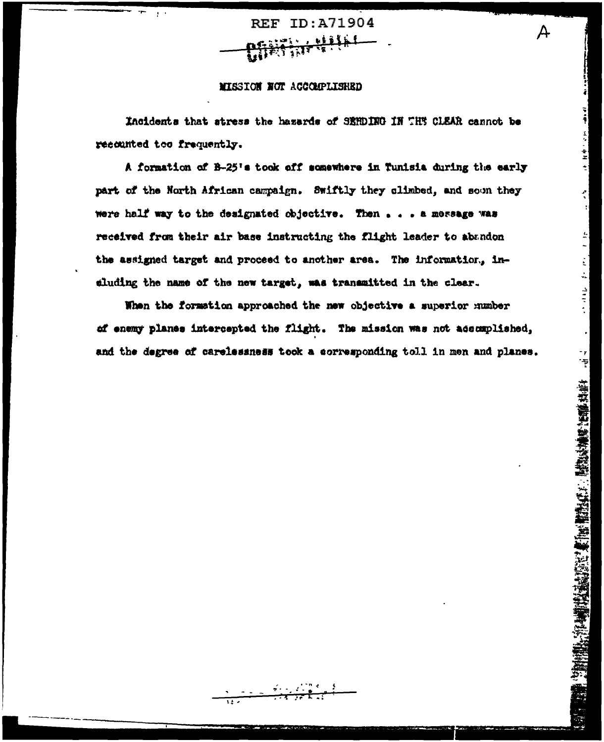ID:A71904 **REF** 

#### MISSION NOT ACCOMPLISHED

Incidents that stress the hazards of SEMDING IN THE CLEAR cannot be recounted too frequently.

ちょうしょう かんかん

 $\frac{4}{1}$ 

 $\mathbb{E}$ ÷,

さかか

"我们的时间,你们也没有了。" "我们的,我们的,我们的,我们的人,你们的人也能够让他们的生活。"

A formation of B-25's took off somewhere in Tunisia during the early part of the North African campaign. Swiftly they climbed, and soon they were half way to the designated objective. Then . . . a message was received from their air base instructing the flight leader to abandon the assigned target and proceed to another area. The information, ineluding the name of the new target, was transmitted in the clear.

When the formation approached the new objective a superior number of enemy planes intercepted the flight. The mission was not accomplished, and the degree of carelessness took a corresponding toll in men and planes.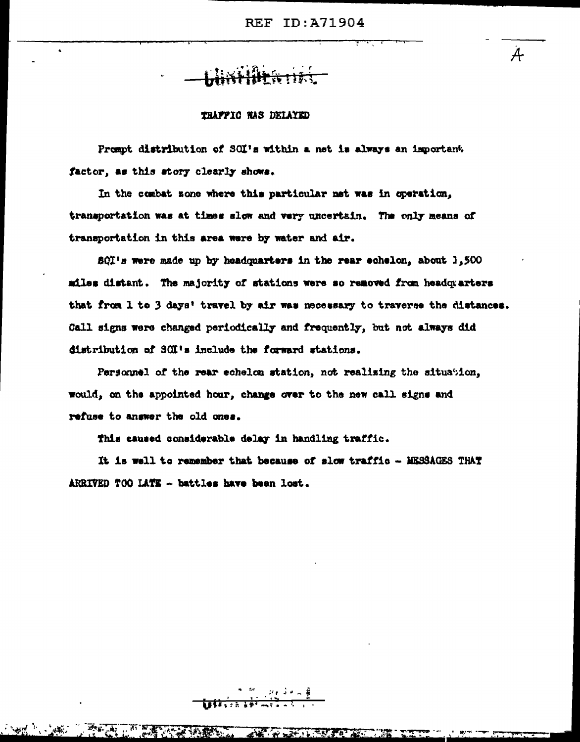A

### TRAFFIC WAS DELAYED

Prempt distribution of SOI's within a net is always an important. factor, as this story clearly shows.

In the combat sone where this particular net was in operation, transportation was at times slow and very uncertain. The only means of transportation in this area were by water and air.

SQI's were made up by headquarters in the rear echelon, about 1,500 miles distant. The majority of stations were so removed from headquarters that from 1 to 3 days' travel by air was necessary to traverse the distances. Call signs were changed periodically and frequently, but not always did distribution of SOI's include the forward stations.

Personnel of the rear echelon station, not realising the situation, would, on the appointed hour, change over to the new call signs and refuse to answer the old ones.

This caused considerable delay in handling traffic.

It is well to remember that because of slow traffic - MESSAGES THAT ARRIVED TOO LATE - battles have been lost.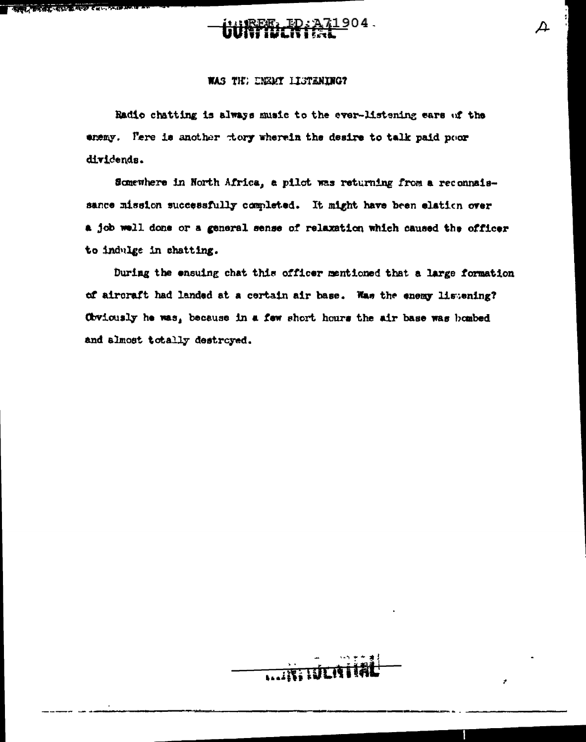### **अपने कार्यक्रम के बाद मं**ग

### 904.

#### WAS THE ENEMY LISTENING?

Radio chatting is always music to the ever-listening ears of the enemy. Pere is another thery wherein the desire to talk paid poor dividends.

Somewhere in North Africa, a pilot was returning from a reconnaissance mission successfully completed. It might have been elation over a job well done or a general sense of relaxation which caused the officer to indulge in chatting.

During the ensuing chat this officer mentioned that a large formation of aircraft had landed at a certain air base. Was the enemy listening? Obviously he was, because in a few short hours the air base was bombed and almost totally destroyed.



Δ.

ż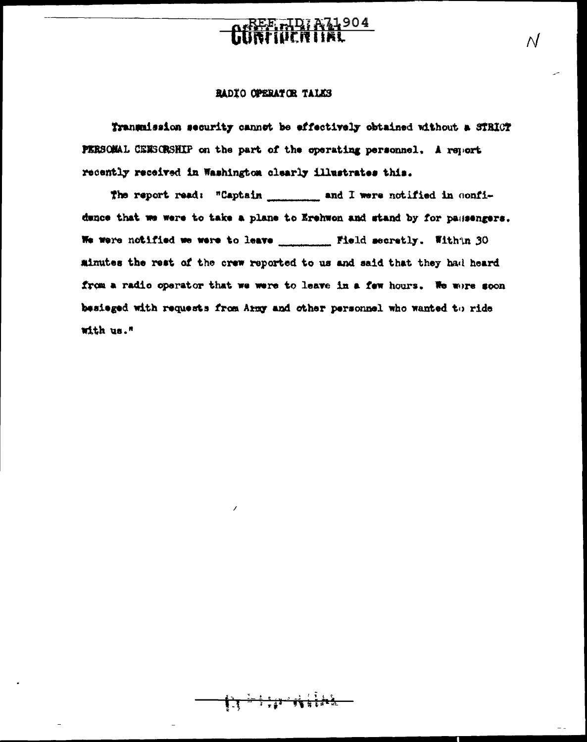## ee - Idj A71904<br>Spiden i Ee

 $\overline{\mathcal{N}}$ 

### RADIO OPERATOR TALKS

Transmission security cannot be effectively obtained without a STRICT PERSONAL CENSORSHIP on the part of the operating personnel, A report recently received in Washington clearly illustrates this.

dence that we were to take a plane to Erehwon and stand by for passengers. We were notified we were to leave \_\_\_\_\_\_\_\_\_ Field secretly. With in 30 minutes the rest of the crew reported to us and said that they had heard from a radio operator that we were to leave in a few hours. We wore soon besieged with requests from Army and other personnel who wanted to ride with us."